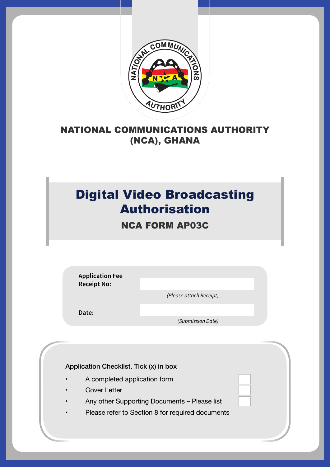

## NATIONAL COMMUNICATIONS AUTHORITY (NCA), GHANA

## Digital Video Broadcasting Authorisation

NCA FORM AP03C

**Application Fee Receipt No:**

 *(Please attach Receipt)*

**Date:**

 *(Submission Date)*

Application Checklist. Tick (x) in box

- A completed application form
- **Cover Letter**
- Any other Supporting Documents Please list
- Please refer to Section 8 for required documents

 $\mathcal{N}_{\mathcal{A}}$  , and the set of  $\mathcal{N}_{\mathcal{A}}$  and  $\mathcal{N}_{\mathcal{A}}$  are also the set of  $\mathcal{N}_{\mathcal{A}}$  and  $\mathcal{N}_{\mathcal{A}}$  are also the set of  $\mathcal{N}_{\mathcal{A}}$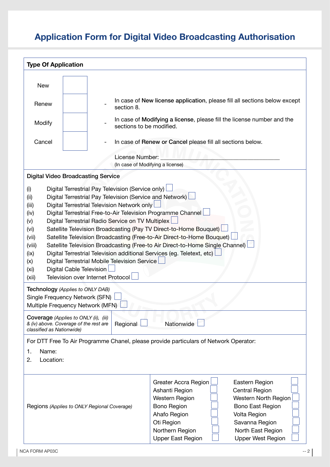## **Application Form for Digital Video Broadcasting Authorisation**

| <b>Type Of Application</b>                                                                                                                                                                                                                                                                                                                                                                                                                                                                                                                                                                                                                                                                          |                                                                                                                                                            |                                                     |  |  |
|-----------------------------------------------------------------------------------------------------------------------------------------------------------------------------------------------------------------------------------------------------------------------------------------------------------------------------------------------------------------------------------------------------------------------------------------------------------------------------------------------------------------------------------------------------------------------------------------------------------------------------------------------------------------------------------------------------|------------------------------------------------------------------------------------------------------------------------------------------------------------|-----------------------------------------------------|--|--|
| <b>New</b><br>In case of New license application, please fill all sections below except<br>Renew<br>section 8.<br>In case of Modifying a license, please fill the license number and the<br>Modify<br>sections to be modified.<br>Cancel<br>In case of Renew or Cancel please fill all sections below.                                                                                                                                                                                                                                                                                                                                                                                              |                                                                                                                                                            |                                                     |  |  |
|                                                                                                                                                                                                                                                                                                                                                                                                                                                                                                                                                                                                                                                                                                     |                                                                                                                                                            | License Number:<br>(In case of Modifying a license) |  |  |
| (i)<br>(ii)                                                                                                                                                                                                                                                                                                                                                                                                                                                                                                                                                                                                                                                                                         | <b>Digital Video Broadcasting Service</b><br>Digital Terrestrial Pay Television (Service only)<br>Digital Terrestrial Pay Television (Service and Network) |                                                     |  |  |
| Digital Terrestrial Television Network only<br>(iii)<br>Digital Terrestrial Free-to-Air Television Programme Channel<br>(iv)<br>Digital Terrestrial Radio Service on TV Multiplex<br>(v)<br>Satellite Television Broadcasting (Pay TV Direct-to-Home Bouquet)<br>(vi)<br>Satellite Television Broadcasting (Free-to-Air Direct-to-Home Bouquet)<br>(vii)<br>Satellite Television Broadcasting (Free-to Air Direct-to-Home Single Channel)<br>(viii)<br>Digital Terrestrial Television additional Services (eg. Teletext, etc)<br>(ix)<br>Digital Terrestrial Mobile Television Service<br>(x)<br>Digital Cable Television<br>(x <sub>i</sub> )<br><b>Television over Internet Protocol</b><br>(xii) |                                                                                                                                                            |                                                     |  |  |
|                                                                                                                                                                                                                                                                                                                                                                                                                                                                                                                                                                                                                                                                                                     | Technology (Applies to ONLY DAB)<br>Single Frequency Network (SFN)<br>Multiple Frequency Network (MFN)                                                     |                                                     |  |  |
| <b>Coverage</b> (Applies to ONLY (ii), (iii)<br>Nationwide<br>& (iv) above. Coverage of the rest are<br>Regional<br>classified as Nationwide)                                                                                                                                                                                                                                                                                                                                                                                                                                                                                                                                                       |                                                                                                                                                            |                                                     |  |  |
| For DTT Free To Air Programme Chanel, please provide particulars of Network Operator:<br>Name:<br>1.<br>Location:<br>2.                                                                                                                                                                                                                                                                                                                                                                                                                                                                                                                                                                             |                                                                                                                                                            |                                                     |  |  |
| Greater Accra Region<br>Eastern Region<br>Ashanti Region<br>Central Region<br>Western North Region<br>Western Region<br>Bono East Region<br>Regions (Applies to ONLY Regional Coverage)<br><b>Bono Region</b><br>Ahafo Region<br>Volta Region<br>Oti Region<br>Savanna Region<br>Northern Region<br>North East Region<br><b>Upper East Region</b><br><b>Upper West Region</b>                                                                                                                                                                                                                                                                                                                       |                                                                                                                                                            |                                                     |  |  |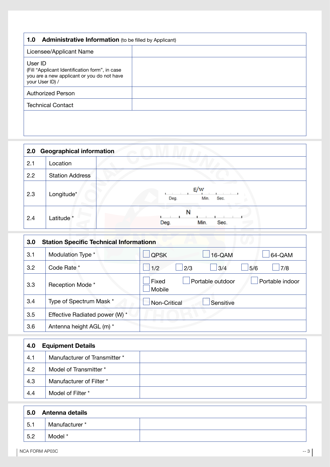| <b>Administrative Information</b> (to be filled by Applicant)<br>1.0                                                       |  |  |
|----------------------------------------------------------------------------------------------------------------------------|--|--|
| Licensee/Applicant Name                                                                                                    |  |  |
| User ID<br>(Fill "Applicant Identification form", in case<br>you are a new applicant or you do not have<br>your User ID) / |  |  |
| <b>Authorized Person</b>                                                                                                   |  |  |
| <b>Technical Contact</b>                                                                                                   |  |  |
|                                                                                                                            |  |  |

| 2.0 | <b>Geographical information</b> |                             |  |
|-----|---------------------------------|-----------------------------|--|
| 2.1 | Location                        |                             |  |
| 2.2 | <b>Station Address</b>          |                             |  |
| 2.3 | Longitude*                      | E/w<br>Deg.<br>Sec.<br>Min. |  |
| 2.4 | Latitude <sup>*</sup>           | N<br>Sec.<br>Deg.<br>Min.   |  |

| 3.0 | <b>Station Specific Technical Informationn</b> |                                                        |  |
|-----|------------------------------------------------|--------------------------------------------------------|--|
| 3.1 | Modulation Type *                              | <b>QPSK</b><br>16-QAM<br>64-QAM                        |  |
| 3.2 | Code Rate *                                    | 1/2<br>5/6<br>7/8<br>2/3<br>3/4                        |  |
| 3.3 | Reception Mode *                               | Portable outdoor<br>Portable indoor<br>Fixed<br>Mobile |  |
| 3.4 | Type of Spectrum Mask *                        | Non-Critical<br>Sensitive                              |  |
| 3.5 | Effective Radiated power (W) *                 |                                                        |  |
| 3.6 | Antenna height AGL (m) *                       |                                                        |  |

| 4.0 | <b>Equipment Details</b>      |  |
|-----|-------------------------------|--|
| 4.1 | Manufacturer of Transmitter * |  |
| 4.2 | Model of Transmitter *        |  |
| 4.3 | Manufacturer of Filter *      |  |
| 4.4 | Model of Filter *             |  |

| 5.0 | Antenna details |  |
|-----|-----------------|--|
| 5.1 | Manufacturer *  |  |
| 5.2 | Model *         |  |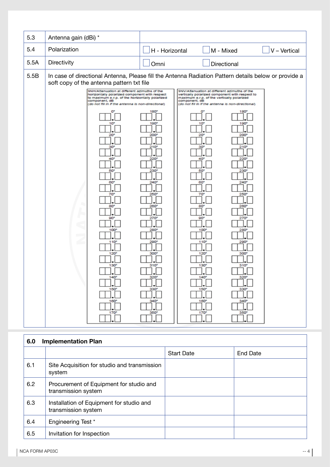| 5.3  | Antenna gain (dBi) *                                                                                                                                                                                                                                                                                                                                                                                                                                                           |                                                                                                                                                                                                                                                                                                                                                                                                                                                                                                                                                                                                                                                                                                                                                                                                                                     |
|------|--------------------------------------------------------------------------------------------------------------------------------------------------------------------------------------------------------------------------------------------------------------------------------------------------------------------------------------------------------------------------------------------------------------------------------------------------------------------------------|-------------------------------------------------------------------------------------------------------------------------------------------------------------------------------------------------------------------------------------------------------------------------------------------------------------------------------------------------------------------------------------------------------------------------------------------------------------------------------------------------------------------------------------------------------------------------------------------------------------------------------------------------------------------------------------------------------------------------------------------------------------------------------------------------------------------------------------|
| 5.4  | Polarization                                                                                                                                                                                                                                                                                                                                                                                                                                                                   | H - Horizontal<br>M - Mixed<br>V - Vertical                                                                                                                                                                                                                                                                                                                                                                                                                                                                                                                                                                                                                                                                                                                                                                                         |
| 5.5A | Directivity                                                                                                                                                                                                                                                                                                                                                                                                                                                                    | Directional<br>Omni                                                                                                                                                                                                                                                                                                                                                                                                                                                                                                                                                                                                                                                                                                                                                                                                                 |
| 5.5B | soft copy of the antenna pattern txt file<br>9NH/Attenuation at different azimuths of the<br>horizontally polarized component with respect<br>to maximum e.r.p. of the horizontally polarized<br>component, dB<br>(do not fill in if the antenna is non-directional)<br>10 <sup>°</sup><br>20<br>30<br>40<br>50<br>60*<br>70°<br>æ<br>80 <sup>o</sup><br>$\overline{C}$<br>90°<br>G<br>100<br>$110^{\circ}$<br>120<br>130'<br>150 <sup>o</sup><br>$160^\circ$<br>$170^{\circ}$ | In case of directional Antenna, Please fill the Antenna Radiation Pattern details below or provide a<br>9NV/Attenuation at different azimuths of the<br>vertically polarized component with respect to<br>maximum e.r.p. of the vertically polarized<br>component, dB<br>(do not fill in if the antenna is non-directionar)<br>180 <sup>o</sup><br>$180^{\circ}$<br>$190^{\circ}$<br>10'<br>190<br>200<br>20<br>200<br>210<br>210<br>зп<br>220<br>220<br>230<br>230<br>50<br>$240^{\circ}$<br>60*<br>240"<br>250<br>70<br>250<br>260<br>80<br>260<br>270<br>90<br>270<br>280<br>100<br>280<br>290°<br>110 <sup>o</sup><br>290°<br>300<br>120<br>300<br>310"<br>130'<br>310'<br>14U<br>330°<br>$330*$<br>150 <sup>o</sup><br>ĨΓ<br>ı٠<br>$340^\circ$<br>$160^{\circ}$<br>$340^\circ$<br>350 <sup>o</sup><br>170°<br>350 <sup>o</sup> |

| 6.0 | <b>Implementation Plan</b>                                      |                   |          |
|-----|-----------------------------------------------------------------|-------------------|----------|
|     |                                                                 | <b>Start Date</b> | End Date |
| 6.1 | Site Acquisition for studio and transmission<br>system          |                   |          |
| 6.2 | Procurement of Equipment for studio and<br>transmission system  |                   |          |
| 6.3 | Installation of Equipment for studio and<br>transmission system |                   |          |
| 6.4 | Engineering Test *                                              |                   |          |
| 6.5 | Invitation for Inspection                                       |                   |          |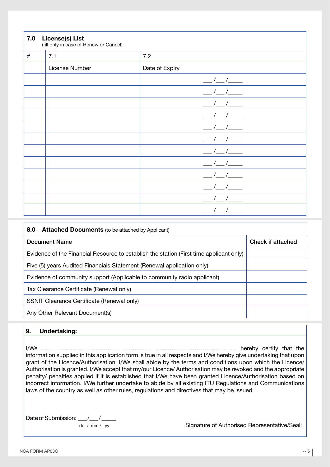| 7.0  | <b>License(s) List</b><br>(fill only in case of Renew or Cancel) |                         |  |
|------|------------------------------------------------------------------|-------------------------|--|
| $\#$ | 7.1                                                              | 7.2                     |  |
|      | License Number                                                   | Date of Expiry          |  |
|      |                                                                  |                         |  |
|      |                                                                  |                         |  |
|      |                                                                  |                         |  |
|      |                                                                  |                         |  |
|      |                                                                  |                         |  |
|      |                                                                  |                         |  |
|      |                                                                  |                         |  |
|      |                                                                  | $\frac{1}{\sqrt{2\pi}}$ |  |
|      |                                                                  |                         |  |
|      |                                                                  | $\sim$                  |  |
|      |                                                                  |                         |  |
|      |                                                                  |                         |  |

| 8.0<br><b>Attached Documents</b> (to be attached by Applicant)                          |                   |  |
|-----------------------------------------------------------------------------------------|-------------------|--|
| Document Name                                                                           | Check if attached |  |
| Evidence of the Financial Resource to establish the station (First time applicant only) |                   |  |
| Five (5) years Audited Financials Statement (Renewal application only)                  |                   |  |
| Evidence of community support (Applicable to community radio applicant)                 |                   |  |
| Tax Clearance Certificate (Renewal only)                                                |                   |  |
| SSNIT Clearance Certificate (Renewal only)                                              |                   |  |
| Any Other Relevant Document(s)                                                          |                   |  |

## **9. Undertaking:**

I/We ……………………………………………………………………………..………… hereby certify that the information supplied in this application form is true in all respects and I/We hereby give undertaking that upon grant of the Licence/Authorisation, I/We shall abide by the terms and conditions upon which the Licence/ Authorisation is granted. I/We accept that my/our Licence/ Authorisation may be revoked and the appropriate penalty/ penalties applied if it is established that I/We have been granted Licence/Authorisation based on incorrect information. I/We further undertake to abide by all existing ITU Regulations and Communications laws of the country as well as other rules, regulations and directives that may be issued.

Date of Submission: \_\_\_/\_\_/\_

dd / mm / yy Signature of Authorised Representative/Seal: